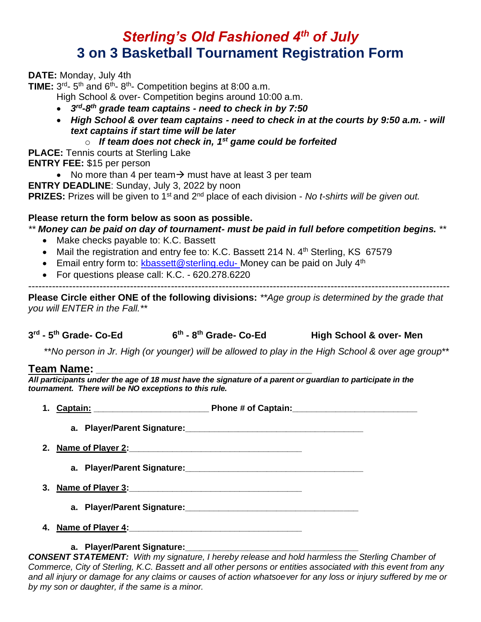## *Sterling's Old Fashioned 4th of July* **3 on 3 Basketball Tournament Registration Form**

**DATE:** Monday, July 4th

**TIME:**  $3^{rd}$ -  $5^{th}$  and  $6^{th}$ -  $8^{th}$ - Competition begins at 8:00 a.m.

High School & over- Competition begins around 10:00 a.m.

- *3 rd-8 th grade team captains - need to check in by 7:50*
- *High School & over team captains - need to check in at the courts by 9:50 a.m. - will text captains if start time will be later*

#### o *If team does not check in, 1 st game could be forfeited*

**PLACE:** Tennis courts at Sterling Lake

**ENTRY FEE:** \$15 per person

- No more than 4 per team  $\rightarrow$  must have at least 3 per team
- **ENTRY DEADLINE**: Sunday, July 3, 2022 by noon

**PRIZES:** Prizes will be given to 1<sup>st</sup> and 2<sup>nd</sup> place of each division - *No t-shirts will be given out.* 

### **Please return the form below as soon as possible.**

*\*\* Money can be paid on day of tournament- must be paid in full before competition begins. \*\**

- Make checks payable to: K.C. Bassett
- Mail the registration and entry fee to: K.C. Bassett 214 N. 4<sup>th</sup> Sterling, KS 67579
- Email entry form to: [kbassett@sterling.edu-](mailto:kbassett@sterling.edu-) Money can be paid on July 4<sup>th</sup>
- For questions please call: K.C. 620.278.6220

----------------------------------------------------------------------------------------------------------------------------

**Please Circle either ONE of the following divisions:** *\*\*Age group is determined by the grade that you will ENTER in the Fall.\*\**

**3 rd - 5 th Grade- Co-Ed 6 th - 8 th Grade- Co-Ed High School & over- Men** 

\*\**No person in Jr. High (or younger) will be allowed to play in the High School & over age group*\*\*

### **Team Name: \_\_\_\_\_\_\_\_\_\_\_\_\_\_\_\_\_\_\_\_\_\_\_\_\_\_\_\_\_\_\_\_\_\_\_\_\_\_\_\_\_\_\_\_\_**

*All participants under the age of 18 must have the signature of a parent or guardian to participate in the tournament. There will be NO exceptions to this rule.*

- **1. Captain: \_\_\_\_\_\_\_\_\_\_\_\_\_\_\_\_\_\_\_\_\_\_\_\_ Phone # of Captain:\_\_\_\_\_\_\_\_\_\_\_\_\_\_\_\_\_\_\_\_\_\_\_\_\_\_**
	- **a. Player/Parent Signature:\_\_\_\_\_\_\_\_\_\_\_\_\_\_\_\_\_\_\_\_\_\_\_\_\_\_\_\_\_\_\_\_\_\_\_\_\_**
- **2. Name of Player 2:\_\_\_\_\_\_\_\_\_\_\_\_\_\_\_\_\_\_\_\_\_\_\_\_\_\_\_\_\_\_\_\_\_\_\_\_**
	- **a. Player/Parent Signature:\_\_\_\_\_\_\_\_\_\_\_\_\_\_\_\_\_\_\_\_\_\_\_\_\_\_\_\_\_\_\_\_\_\_\_\_\_**
- **3. Name of Player 3:\_\_\_\_\_\_\_\_\_\_\_\_\_\_\_\_\_\_\_\_\_\_\_\_\_\_\_\_\_\_\_\_\_\_\_\_**
	- **a. Player/Parent Signature:\_\_\_\_\_\_\_\_\_\_\_\_\_\_\_\_\_\_\_\_\_\_\_\_\_\_\_\_\_\_\_\_\_\_\_\_**
- **4. Name of Player 4:\_\_\_\_\_\_\_\_\_\_\_\_\_\_\_\_\_\_\_\_\_\_\_\_\_\_\_\_\_\_\_\_\_\_\_\_**

#### **a. Player/Parent Signature:\_\_\_\_\_\_\_\_\_\_\_\_\_\_\_\_\_\_\_\_\_\_\_\_\_\_\_\_\_\_\_\_\_\_\_\_**

*CONSENT STATEMENT: With my signature, I hereby release and hold harmless the Sterling Chamber of Commerce, City of Sterling, K.C. Bassett and all other persons or entities associated with this event from any and all injury or damage for any claims or causes of action whatsoever for any loss or injury suffered by me or by my son or daughter, if the same is a minor.*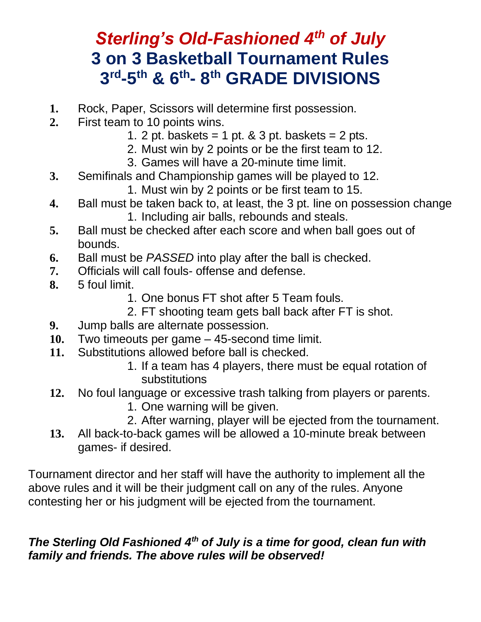## Sterling's Old-Fashioned 4<sup>th</sup> of July **3 on 3 Basketball Tournament Rules 3 rd -5 th & 6 th - 8 th GRADE DIVISIONS**

- **1.** Rock, Paper, Scissors will determine first possession.
- **2.** First team to 10 points wins.
	- 1. 2 pt. baskets = 1 pt.  $&$  3 pt. baskets = 2 pts.
	- 2. Must win by 2 points or be the first team to 12.
	- 3. Games will have a 20-minute time limit.
- **3.** Semifinals and Championship games will be played to 12.
	- 1. Must win by 2 points or be first team to 15.
- **4.** Ball must be taken back to, at least, the 3 pt. line on possession change
	- 1. Including air balls, rebounds and steals.
- **5.** Ball must be checked after each score and when ball goes out of bounds.
- **6.** Ball must be *PASSED* into play after the ball is checked.
- **7.** Officials will call fouls- offense and defense.
- **8.** 5 foul limit.
	- 1. One bonus FT shot after 5 Team fouls.
	- 2. FT shooting team gets ball back after FT is shot.
- **9.** Jump balls are alternate possession.
- **10.** Two timeouts per game 45-second time limit.
- **11.** Substitutions allowed before ball is checked.
	- 1. If a team has 4 players, there must be equal rotation of substitutions
- **12.** No foul language or excessive trash talking from players or parents.
	- 1. One warning will be given.
	- 2. After warning, player will be ejected from the tournament.
- **13.** All back-to-back games will be allowed a 10-minute break between games- if desired.

Tournament director and her staff will have the authority to implement all the above rules and it will be their judgment call on any of the rules. Anyone contesting her or his judgment will be ejected from the tournament.

## *The Sterling Old Fashioned 4th of July is a time for good, clean fun with family and friends. The above rules will be observed!*